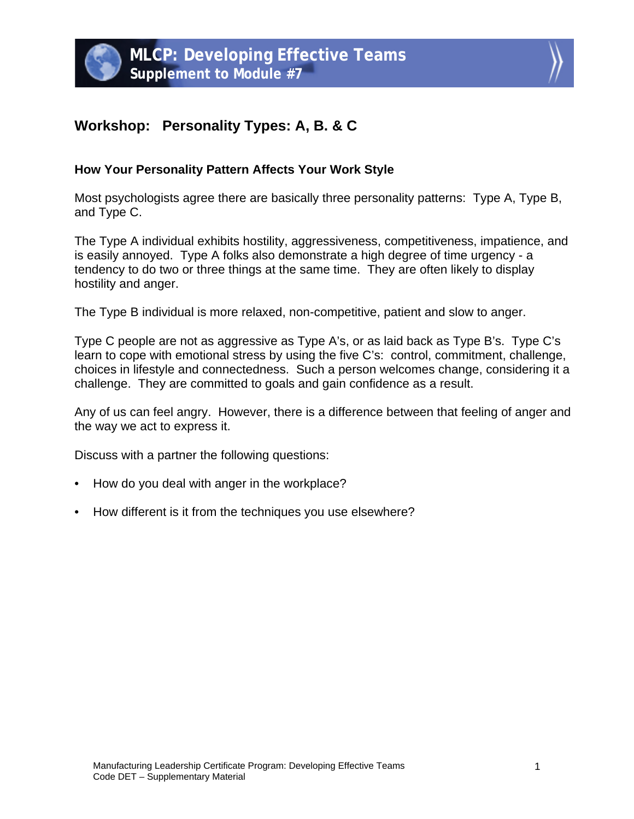



## **Workshop: Personality Types: A, B. & C**

## **How Your Personality Pattern Affects Your Work Style**

Most psychologists agree there are basically three personality patterns: Type A, Type B, and Type C.

The Type A individual exhibits hostility, aggressiveness, competitiveness, impatience, and is easily annoyed. Type A folks also demonstrate a high degree of time urgency - a tendency to do two or three things at the same time. They are often likely to display hostility and anger.

The Type B individual is more relaxed, non-competitive, patient and slow to anger.

Type C people are not as aggressive as Type A's, or as laid back as Type B's. Type C's learn to cope with emotional stress by using the five C's: control, commitment, challenge, choices in lifestyle and connectedness. Such a person welcomes change, considering it a challenge. They are committed to goals and gain confidence as a result.

Any of us can feel angry. However, there is a difference between that feeling of anger and the way we act to express it.

Discuss with a partner the following questions:

- How do you deal with anger in the workplace?
- How different is it from the techniques you use elsewhere?